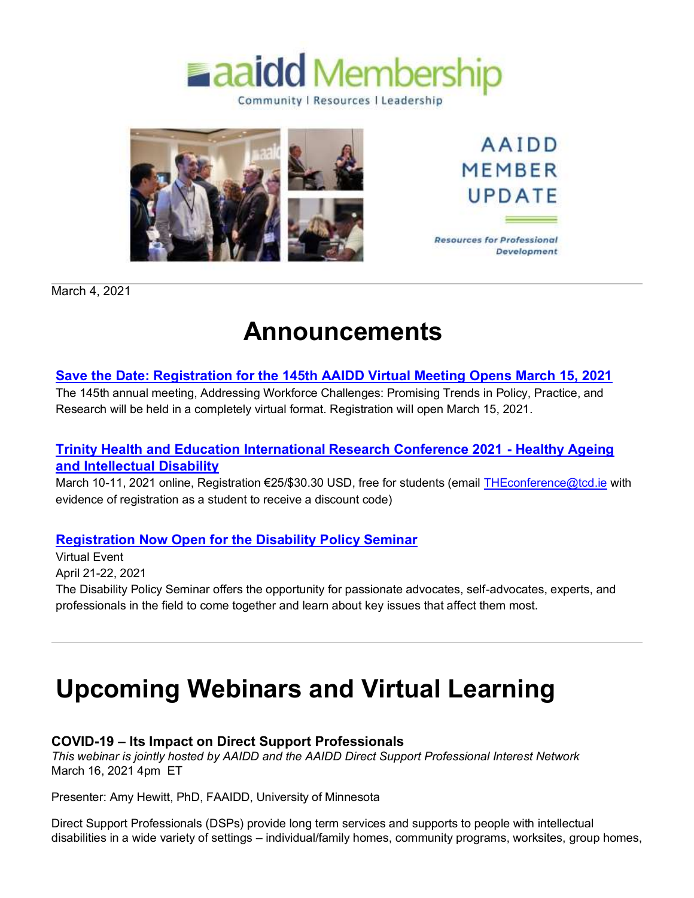



**AAIDD MEMBER** UPDATE

**Resources for Professional** Development

March 4, 2021

## **Announcements**

## **[Save the Date: Registration for the 145th AAIDD Virtual Meeting Opens March 15, 2021](http://mms.aaidd.org/ct.php?lid=98266809&mm=47824065813)**

The 145th annual meeting, Addressing Workforce Challenges: Promising Trends in Policy, Practice, and Research will be held in a completely virtual format. Registration will open March 15, 2021.

## **[Trinity Health and Education International Research Conference 2021 -](http://mms.aaidd.org/ct.php?lid=98244813&mm=47824065813) Healthy Ageing [and Intellectual Disability](http://mms.aaidd.org/ct.php?lid=98244813&mm=47824065813)**

March 10-11, 2021 online, Registration €25/\$30.30 USD, free for students (email [THEconference@tcd.ie](mailto:THEconference@tcd.ie) with evidence of registration as a student to receive a discount code)

## **[Registration Now Open for the Disability Policy Seminar](http://mms.aaidd.org/ct.php?lid=98246035&mm=47824065813)**

Virtual Event April 21-22, 2021 The Disability Policy Seminar offers the opportunity for passionate advocates, self-advocates, experts, and professionals in the field to come together and learn about key issues that affect them most.

# **Upcoming Webinars and Virtual Learning**

## **COVID-19 – Its Impact on Direct Support Professionals**

*This webinar is jointly hosted by AAIDD and the AAIDD Direct Support Professional Interest Network* March 16, 2021 4pm ET

Presenter: Amy Hewitt, PhD, FAAIDD, University of Minnesota

Direct Support Professionals (DSPs) provide long term services and supports to people with intellectual disabilities in a wide variety of settings – individual/family homes, community programs, worksites, group homes,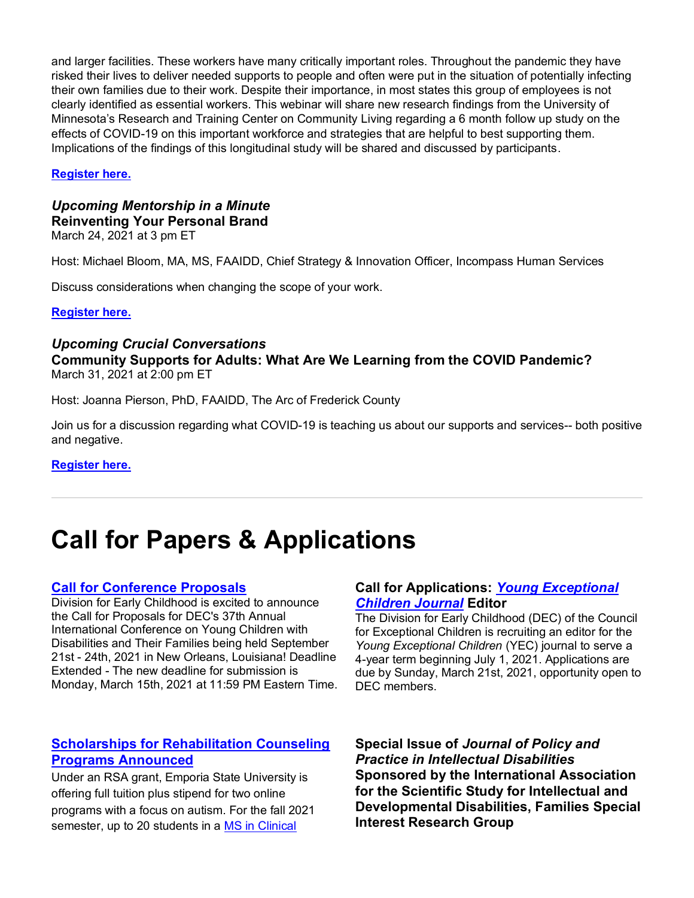and larger facilities. These workers have many critically important roles. Throughout the pandemic they have risked their lives to deliver needed supports to people and often were put in the situation of potentially infecting their own families due to their work. Despite their importance, in most states this group of employees is not clearly identified as essential workers. This webinar will share new research findings from the University of Minnesota's Research and Training Center on Community Living regarding a 6 month follow up study on the effects of COVID-19 on this important workforce and strategies that are helpful to best supporting them. Implications of the findings of this longitudinal study will be shared and discussed by participants.

#### **[Register here.](http://mms.aaidd.org/ct.php?lid=98247257&mm=47824065813)**

## *Upcoming Mentorship in a Minute* **Reinventing Your Personal Brand**

March 24, 2021 at 3 pm ET

Host: Michael Bloom, MA, MS, FAAIDD, Chief Strategy & Innovation Officer, Incompass Human Services

Discuss considerations when changing the scope of your work.

#### **[Register here.](http://mms.aaidd.org/ct.php?lid=98247257&mm=47824065813)**

#### *Upcoming Crucial Conversations*

**Community Supports for Adults: What Are We Learning from the COVID Pandemic?** March 31, 2021 at 2:00 pm ET

Host: Joanna Pierson, PhD, FAAIDD, The Arc of Frederick County

Join us for a discussion regarding what COVID-19 is teaching us about our supports and services-- both positive and negative.

#### **[Register here.](http://mms.aaidd.org/ct.php?lid=98247257&mm=47824065813)**

## **Call for Papers & Applications**

#### **[Call for Conference Proposals](http://mms.aaidd.org/ct.php?lid=98248479&mm=47824065813)**

Division for Early Childhood is excited to announce the Call for Proposals for DEC's 37th Annual International Conference on Young Children with Disabilities and Their Families being held September 21st - 24th, 2021 in New Orleans, Louisiana! Deadline Extended - The new deadline for submission is Monday, March 15th, 2021 at 11:59 PM Eastern Time.

## **[Scholarships for Rehabilitation Counseling](http://mms.aaidd.org/ct.php?lid=98250923&mm=47824065813)  [Programs Announced](http://mms.aaidd.org/ct.php?lid=98250923&mm=47824065813)**

Under an RSA grant, Emporia State University is offering full tuition plus stipend for two online programs with a focus on autism. For the fall 2021 semester, up to 20 students in a [MS in Clinical](http://mms.aaidd.org/ct.php?lid=98252145&mm=47824065813) 

#### **[Call for Applications:](http://mms.aaidd.org/ct.php?lid=98249701&mm=47824065813)** *Young Exceptional [Children Journal](http://mms.aaidd.org/ct.php?lid=98249701&mm=47824065813)* **Editor**

The Division for Early Childhood (DEC) of the Council for Exceptional Children is recruiting an editor for the *Young Exceptional Children* (YEC) journal to serve a 4-year term beginning July 1, 2021. Applications are due by Sunday, March 21st, 2021, opportunity open to DEC members.

**Special Issue of** *Journal of Policy and Practice in Intellectual Disabilities* **Sponsored by the International Association for the Scientific Study for Intellectual and Developmental Disabilities, Families Special Interest Research Group**